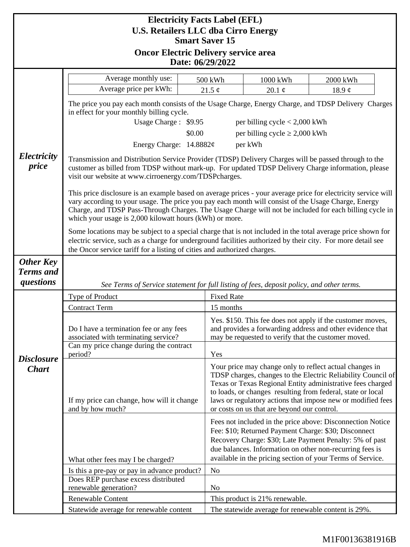| <b>Electricity Facts Label (EFL)</b><br><b>U.S. Retailers LLC dba Cirro Energy</b>       |                                                                                                                                                                                                                                                                                                                                                                                           |                   |                                                                                                                                                                                                                                                                                                                                                                    |             |  |
|------------------------------------------------------------------------------------------|-------------------------------------------------------------------------------------------------------------------------------------------------------------------------------------------------------------------------------------------------------------------------------------------------------------------------------------------------------------------------------------------|-------------------|--------------------------------------------------------------------------------------------------------------------------------------------------------------------------------------------------------------------------------------------------------------------------------------------------------------------------------------------------------------------|-------------|--|
| <b>Smart Saver 15</b><br><b>Oncor Electric Delivery service area</b><br>Date: 06/29/2022 |                                                                                                                                                                                                                                                                                                                                                                                           |                   |                                                                                                                                                                                                                                                                                                                                                                    |             |  |
|                                                                                          |                                                                                                                                                                                                                                                                                                                                                                                           |                   |                                                                                                                                                                                                                                                                                                                                                                    |             |  |
|                                                                                          | Average price per kWh:                                                                                                                                                                                                                                                                                                                                                                    | 21.5 $\phi$       | 20.1 $\phi$                                                                                                                                                                                                                                                                                                                                                        | 18.9 $\phi$ |  |
|                                                                                          | The price you pay each month consists of the Usage Charge, Energy Charge, and TDSP Delivery Charges<br>in effect for your monthly billing cycle.                                                                                                                                                                                                                                          |                   |                                                                                                                                                                                                                                                                                                                                                                    |             |  |
|                                                                                          | Usage Charge: \$9.95<br>per billing cycle $< 2,000$ kWh                                                                                                                                                                                                                                                                                                                                   |                   |                                                                                                                                                                                                                                                                                                                                                                    |             |  |
|                                                                                          |                                                                                                                                                                                                                                                                                                                                                                                           | \$0.00            | per billing cycle $\geq 2,000$ kWh                                                                                                                                                                                                                                                                                                                                 |             |  |
|                                                                                          | Energy Charge: 14.8882¢                                                                                                                                                                                                                                                                                                                                                                   |                   | per kWh                                                                                                                                                                                                                                                                                                                                                            |             |  |
| Electricity<br>price                                                                     | Transmission and Distribution Service Provider (TDSP) Delivery Charges will be passed through to the<br>customer as billed from TDSP without mark-up. For updated TDSP Delivery Charge information, please<br>visit our website at www.cirroenergy.com/TDSPcharges.                                                                                                                       |                   |                                                                                                                                                                                                                                                                                                                                                                    |             |  |
|                                                                                          | This price disclosure is an example based on average prices - your average price for electricity service will<br>vary according to your usage. The price you pay each month will consist of the Usage Charge, Energy<br>Charge, and TDSP Pass-Through Charges. The Usage Charge will not be included for each billing cycle in<br>which your usage is 2,000 kilowatt hours (kWh) or more. |                   |                                                                                                                                                                                                                                                                                                                                                                    |             |  |
|                                                                                          | Some locations may be subject to a special charge that is not included in the total average price shown for<br>electric service, such as a charge for underground facilities authorized by their city. For more detail see<br>the Oncor service tariff for a listing of cities and authorized charges.                                                                                    |                   |                                                                                                                                                                                                                                                                                                                                                                    |             |  |
| Other Key<br><b>Terms</b> and<br>questions                                               | See Terms of Service statement for full listing of fees, deposit policy, and other terms.                                                                                                                                                                                                                                                                                                 |                   |                                                                                                                                                                                                                                                                                                                                                                    |             |  |
|                                                                                          | Type of Product                                                                                                                                                                                                                                                                                                                                                                           | <b>Fixed Rate</b> |                                                                                                                                                                                                                                                                                                                                                                    |             |  |
| <b>Disclosure</b><br><b>Chart</b>                                                        | <b>Contract Term</b>                                                                                                                                                                                                                                                                                                                                                                      | 15 months         |                                                                                                                                                                                                                                                                                                                                                                    |             |  |
|                                                                                          | Do I have a termination fee or any fees<br>associated with terminating service?                                                                                                                                                                                                                                                                                                           |                   | Yes. \$150. This fee does not apply if the customer moves,<br>and provides a forwarding address and other evidence that<br>may be requested to verify that the customer moved.                                                                                                                                                                                     |             |  |
|                                                                                          | Can my price change during the contract<br>period?                                                                                                                                                                                                                                                                                                                                        |                   | Yes                                                                                                                                                                                                                                                                                                                                                                |             |  |
|                                                                                          | If my price can change, how will it change<br>and by how much?                                                                                                                                                                                                                                                                                                                            |                   | Your price may change only to reflect actual changes in<br>TDSP charges, changes to the Electric Reliability Council of<br>Texas or Texas Regional Entity administrative fees charged<br>to loads, or changes resulting from federal, state or local<br>laws or regulatory actions that impose new or modified fees<br>or costs on us that are beyond our control. |             |  |
|                                                                                          | What other fees may I be charged?                                                                                                                                                                                                                                                                                                                                                         |                   | Fees not included in the price above: Disconnection Notice<br>Fee: \$10; Returned Payment Charge: \$30; Disconnect<br>Recovery Charge: \$30; Late Payment Penalty: 5% of past<br>due balances. Information on other non-recurring fees is<br>available in the pricing section of your Terms of Service.                                                            |             |  |
|                                                                                          | Is this a pre-pay or pay in advance product?                                                                                                                                                                                                                                                                                                                                              | No                |                                                                                                                                                                                                                                                                                                                                                                    |             |  |
|                                                                                          | Does REP purchase excess distributed<br>renewable generation?                                                                                                                                                                                                                                                                                                                             | No                |                                                                                                                                                                                                                                                                                                                                                                    |             |  |
|                                                                                          | Renewable Content                                                                                                                                                                                                                                                                                                                                                                         |                   | This product is 21% renewable.                                                                                                                                                                                                                                                                                                                                     |             |  |
|                                                                                          | Statewide average for renewable content                                                                                                                                                                                                                                                                                                                                                   |                   | The statewide average for renewable content is 29%.                                                                                                                                                                                                                                                                                                                |             |  |